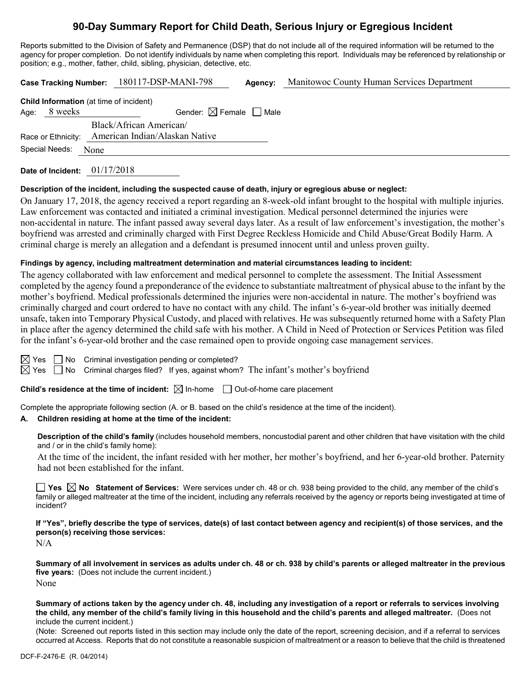# **90-Day Summary Report for Child Death, Serious Injury or Egregious Incident**

Reports submitted to the Division of Safety and Permanence (DSP) that do not include all of the required information will be returned to the agency for proper completion. Do not identify individuals by name when completing this report. Individuals may be referenced by relationship or position; e.g., mother, father, child, sibling, physician, detective, etc.

|                    |         |      | Case Tracking Number: 180117-DSP-MANI-798      | Agency: | Manitowoc County Human Services Department |  |  |
|--------------------|---------|------|------------------------------------------------|---------|--------------------------------------------|--|--|
|                    |         |      | <b>Child Information</b> (at time of incident) |         |                                            |  |  |
| Age:               | 8 weeks |      | Gender: $\boxtimes$ Female $\Box$ Male         |         |                                            |  |  |
|                    |         |      | Black/African American/                        |         |                                            |  |  |
| Race or Ethnicity: |         |      | American Indian/Alaskan Native                 |         |                                            |  |  |
| Special Needs:     |         | None |                                                |         |                                            |  |  |
|                    |         |      |                                                |         |                                            |  |  |

**Date of Incident:** 01/17/2018

#### **Description of the incident, including the suspected cause of death, injury or egregious abuse or neglect:**

On January 17, 2018, the agency received a report regarding an 8-week-old infant brought to the hospital with multiple injuries. Law enforcement was contacted and initiated a criminal investigation. Medical personnel determined the injuries were non-accidental in nature. The infant passed away several days later. As a result of law enforcement's investigation, the mother's boyfriend was arrested and criminally charged with First Degree Reckless Homicide and Child Abuse/Great Bodily Harm. A criminal charge is merely an allegation and a defendant is presumed innocent until and unless proven guilty.

#### **Findings by agency, including maltreatment determination and material circumstances leading to incident:**

The agency collaborated with law enforcement and medical personnel to complete the assessment. The Initial Assessment completed by the agency found a preponderance of the evidence to substantiate maltreatment of physical abuse to the infant by the mother's boyfriend. Medical professionals determined the injuries were non-accidental in nature. The mother's boyfriend was criminally charged and court ordered to have no contact with any child. The infant's 6-year-old brother was initially deemed unsafe, taken into Temporary Physical Custody, and placed with relatives. He was subsequently returned home with a Safety Plan in place after the agency determined the child safe with his mother. A Child in Need of Protection or Services Petition was filed for the infant's 6-year-old brother and the case remained open to provide ongoing case management services.

|  | $\boxtimes$ Yes $\Box$ No Criminal investigation pending or completed?                                  |
|--|---------------------------------------------------------------------------------------------------------|
|  | $\boxtimes$ Yes $\Box$ No Criminal charges filed? If yes, against whom? The infant's mother's boyfriend |

**Child's residence at the time of incident:**  $\boxtimes$  In-home  $\Box$  Out-of-home care placement

Complete the appropriate following section (A. or B. based on the child's residence at the time of the incident).

# **A. Children residing at home at the time of the incident:**

**Description of the child's family** (includes household members, noncustodial parent and other children that have visitation with the child and / or in the child's family home):

At the time of the incident, the infant resided with her mother, her mother's boyfriend, and her 6-year-old brother. Paternity had not been established for the infant.

■ Yes △ No Statement of Services: Were services under ch. 48 or ch. 938 being provided to the child, any member of the child's family or alleged maltreater at the time of the incident, including any referrals received by the agency or reports being investigated at time of incident?

**If "Yes", briefly describe the type of services, date(s) of last contact between agency and recipient(s) of those services, and the person(s) receiving those services:**

N/A

**Summary of all involvement in services as adults under ch. 48 or ch. 938 by child's parents or alleged maltreater in the previous five years:** (Does not include the current incident.) None

**Summary of actions taken by the agency under ch. 48, including any investigation of a report or referrals to services involving the child, any member of the child's family living in this household and the child's parents and alleged maltreater.** (Does not include the current incident.)

(Note: Screened out reports listed in this section may include only the date of the report, screening decision, and if a referral to services occurred at Access. Reports that do not constitute a reasonable suspicion of maltreatment or a reason to believe that the child is threatened